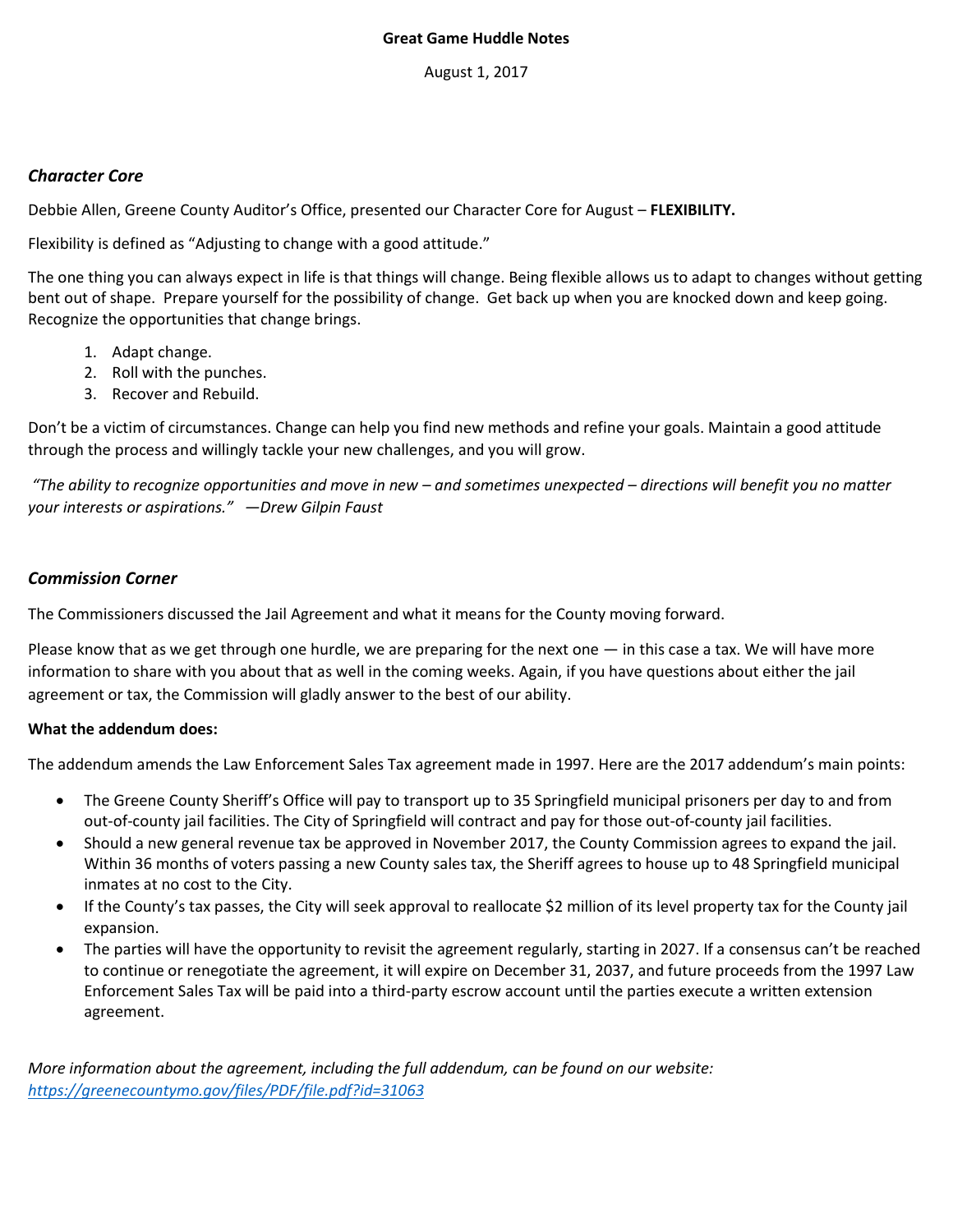### **Great Game Huddle Notes**

August 1, 2017

# *Character Core*

Debbie Allen, Greene County Auditor's Office, presented our Character Core for August – **FLEXIBILITY.**

Flexibility is defined as "Adjusting to change with a good attitude."

The one thing you can always expect in life is that things will change. Being flexible allows us to adapt to changes without getting bent out of shape. Prepare yourself for the possibility of change. Get back up when you are knocked down and keep going. Recognize the opportunities that change brings.

- 1. Adapt change.
- 2. Roll with the punches.
- 3. Recover and Rebuild.

Don't be a victim of circumstances. Change can help you find new methods and refine your goals. Maintain a good attitude through the process and willingly tackle your new challenges, and you will grow.

*"The ability to recognize opportunities and move in new – and sometimes unexpected – directions will benefit you no matter your interests or aspirations." —Drew Gilpin Faust*

# *Commission Corner*

The Commissioners discussed the Jail Agreement and what it means for the County moving forward.

Please know that as we get through one hurdle, we are preparing for the next one — in this case a tax. We will have more information to share with you about that as well in the coming weeks. Again, if you have questions about either the jail agreement or tax, the Commission will gladly answer to the best of our ability.

### **What the addendum does:**

The addendum amends the Law Enforcement Sales Tax agreement made in 1997. Here are the 2017 addendum's main points:

- The Greene County Sheriff's Office will pay to transport up to 35 Springfield municipal prisoners per day to and from out-of-county jail facilities. The City of Springfield will contract and pay for those out-of-county jail facilities.
- Should a new general revenue tax be approved in November 2017, the County Commission agrees to expand the jail. Within 36 months of voters passing a new County sales tax, the Sheriff agrees to house up to 48 Springfield municipal inmates at no cost to the City.
- If the County's tax passes, the City will seek approval to reallocate \$2 million of its level property tax for the County jail expansion.
- The parties will have the opportunity to revisit the agreement regularly, starting in 2027. If a consensus can't be reached to continue or renegotiate the agreement, it will expire on December 31, 2037, and future proceeds from the 1997 Law Enforcement Sales Tax will be paid into a third-party escrow account until the parties execute a written extension agreement.

*More information about the agreement, including the full addendum, can be found on our website: <https://greenecountymo.gov/files/PDF/file.pdf?id=31063>*